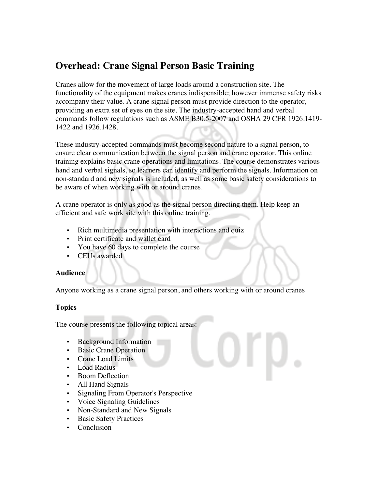## **Overhead: Crane Signal Person Basic Training**

Cranes allow for the movement of large loads around a construction site. The functionality of the equipment makes cranes indispensible; however immense safety risks accompany their value. A crane signal person must provide direction to the operator, providing an extra set of eyes on the site. The industry-accepted hand and verbal commands follow regulations such as ASME B30.5-2007 and OSHA 29 CFR 1926.1419- 1422 and 1926.1428.

These industry-accepted commands must become second nature to a signal person, to ensure clear communication between the signal person and crane operator. This online training explains basic crane operations and limitations. The course demonstrates various hand and verbal signals, so learners can identify and perform the signals. Information on non-standard and new signals is included, as well as some basic safety considerations to be aware of when working with or around cranes.

A crane operator is only as good as the signal person directing them. Help keep an efficient and safe work site with this online training.

- Rich multimedia presentation with interactions and quiz
- Print certificate and wallet card
- You have 60 days to complete the course
- CEUs awarded

## **Audience**

Anyone working as a crane signal person, and others working with or around cranes

## **Topics**

The course presents the following topical areas:

- Background Information
- Basic Crane Operation
- Crane Load Limits
- Load Radius
- Boom Deflection
- All Hand Signals
- Signaling From Operator's Perspective
- Voice Signaling Guidelines
- Non-Standard and New Signals
- **Basic Safety Practices**
- Conclusion